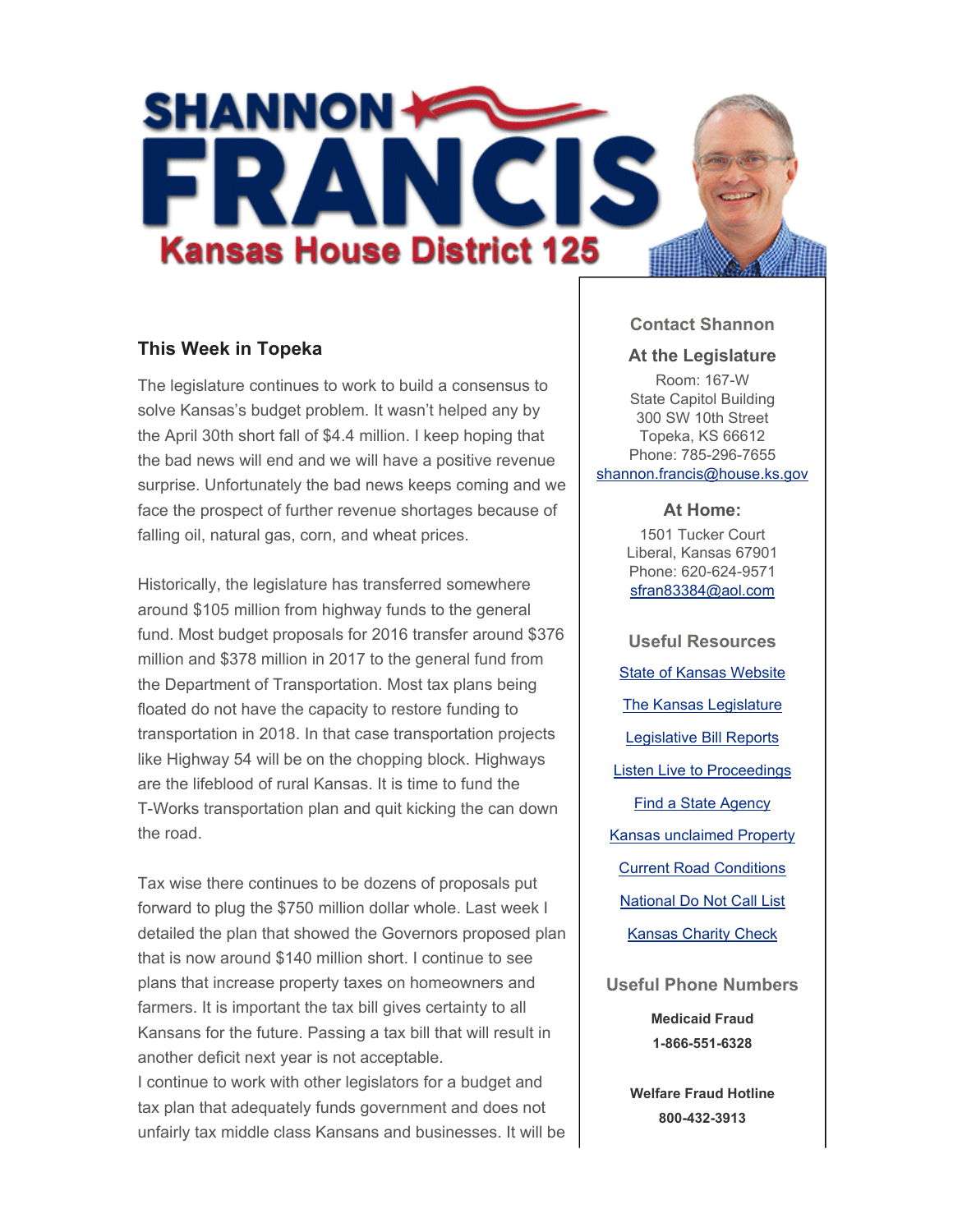

## **This Week in Topeka**

The legislature continues to work to build a consensus to solve Kansas's budget problem. It wasn't helped any by the April 30th short fall of \$4.4 million. I keep hoping that the bad news will end and we will have a positive revenue surprise. Unfortunately the bad news keeps coming and we face the prospect of further revenue shortages because of falling oil, natural gas, corn, and wheat prices.

Historically, the legislature has transferred somewhere around \$105 million from highway funds to the general fund. Most budget proposals for 2016 transfer around \$376 million and \$378 million in 2017 to the general fund from the Department of Transportation. Most tax plans being floated do not have the capacity to restore funding to transportation in 2018. In that case transportation projects like Highway 54 will be on the chopping block. Highways are the lifeblood of rural Kansas. It is time to fund the T-Works transportation plan and quit kicking the can down the road.

Tax wise there continues to be dozens of proposals put forward to plug the \$750 million dollar whole. Last week I detailed the plan that showed the Governors proposed plan that is now around \$140 million short. I continue to see plans that increase property taxes on homeowners and farmers. It is important the tax bill gives certainty to all Kansans for the future. Passing a tax bill that will result in another deficit next year is not acceptable. I continue to work with other legislators for a budget and tax plan that adequately funds government and does not unfairly tax middle class Kansans and businesses. It will be

## **Contact Shannon**

#### **At the Legislature**

Room: 167-W State Capitol Building 300 SW 10th Street Topeka, KS 66612 Phone: 785-296-7655 shannon.francis@house.ks.gov

#### **At Home:**

1501 Tucker Court Liberal, Kansas 67901 Phone: 620-624-9571 sfran83384@aol.com

**Useful Resources** State of Kansas Website The Kansas Legislature Legislative Bill Reports Listen Live to Proceedings Find a State Agency Kansas unclaimed Property Current Road Conditions National Do Not Call List Kansas Charity Check

**Useful Phone Numbers Medicaid Fraud 1-866-551-6328**

> **Welfare Fraud Hotline 800-432-3913**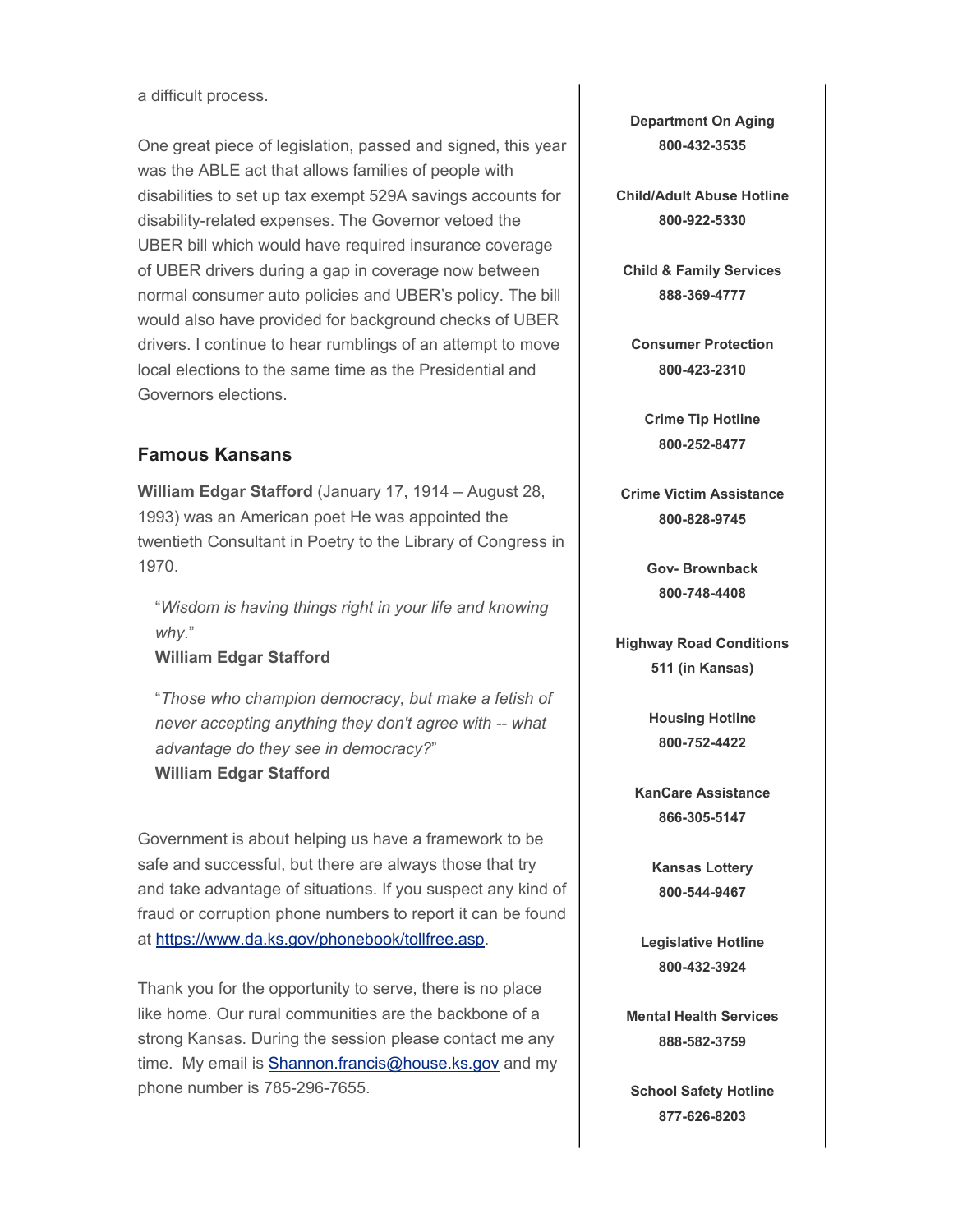a difficult process.

One great piece of legislation, passed and signed, this year was the ABLE act that allows families of people with disabilities to set up tax exempt 529A savings accounts for disability-related expenses. The Governor vetoed the UBER bill which would have required insurance coverage of UBER drivers during a gap in coverage now between normal consumer auto policies and UBER's policy. The bill would also have provided for background checks of UBER drivers. I continue to hear rumblings of an attempt to move local elections to the same time as the Presidential and Governors elections.

# **Famous Kansans**

**William Edgar Stafford** (January 17, 1914 – August 28, 1993) was an American poet He was appointed the twentieth Consultant in Poetry to the Library of Congress in 1970.

"*Wisdom is having things right in your life and knowing why*."

### **William Edgar Stafford**

"*Those who champion democracy, but make a fetish of never accepting anything they don't agree with -- what advantage do they see in democracy?*" **William Edgar Stafford**

Government is about helping us have a framework to be safe and successful, but there are always those that try and take advantage of situations. If you suspect any kind of fraud or corruption phone numbers to report it can be found at https://www.da.ks.gov/phonebook/tollfree.asp.

Thank you for the opportunity to serve, there is no place like home. Our rural communities are the backbone of a strong Kansas. During the session please contact me any time. My email is **Shannon.francis@house.ks.gov** and my phone number is 785-296-7655.

**Department On Aging 800-432-3535**

**Child/Adult Abuse Hotline 800-922-5330**

**Child & Family Services 888-369-4777**

**Consumer Protection 800-423-2310**

**Crime Tip Hotline 800-252-8477**

**Crime Victim Assistance 800-828-9745**

> **Gov- Brownback 800-748-4408**

**Highway Road Conditions 511 (in Kansas)**

> **Housing Hotline 800-752-4422**

**KanCare Assistance 866-305-5147**

> **Kansas Lottery 800-544-9467**

**Legislative Hotline 800-432-3924**

**Mental Health Services 888-582-3759**

**School Safety Hotline 877-626-8203**